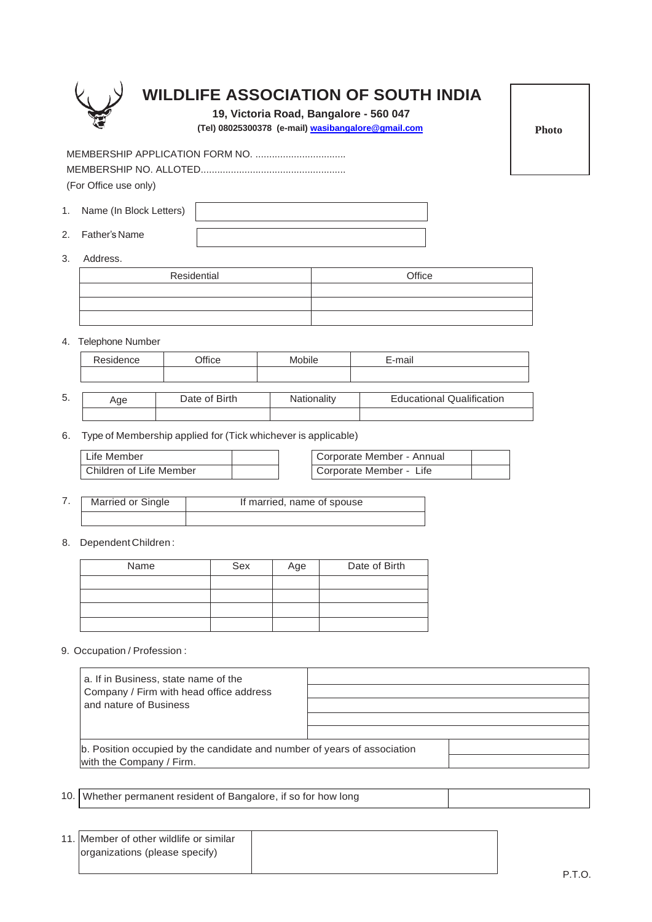

## **WILDLIFE ASSOCIATION OF SOUTH INDIA**

**19, Victoria Road, Bangalore - 560 047**

 **(Tel) 08025300378 (e-mail) [wasibangalore@gmail.com](mailto:wasibangalore@gmail.com)**

MEMBERSHIP APPLICATION FORM NO. ................................. MEMBERSHIP NO. ALLOTED..................................................... (For Office use only)

- 1. Name (In Block Letters)
- 2. Father's Name
- 3. Address.

5.

| Residential | Office |
|-------------|--------|
|             |        |
|             |        |
|             |        |

4. Telephone Number

| Residence | Office        | Mobile             | E-mail                           |
|-----------|---------------|--------------------|----------------------------------|
|           |               |                    |                                  |
|           |               |                    |                                  |
| Age       | Date of Birth | <b>Nationality</b> | <b>Educational Qualification</b> |

6. Type of Membership applied for (Tick whichever is applicable)

| l Life Member           | Corporate Member - Annual |  |
|-------------------------|---------------------------|--|
| Children of Life Member | Corporate Member - Life   |  |

- 7. Married or Single If married, name of spouse
- 8. Dependent Children :

| Name | Sex | Age | Date of Birth |
|------|-----|-----|---------------|
|      |     |     |               |
|      |     |     |               |
|      |     |     |               |
|      |     |     |               |

9. Occupation / Profession :

| a. If in Business, state name of the<br>Company / Firm with head office address<br>and nature of Business |  |
|-----------------------------------------------------------------------------------------------------------|--|
| b. Position occupied by the candidate and number of years of association<br>with the Company / Firm.      |  |

10. Whether permanent resident of Bangalore, if so for how long

| 11. Member of other wildlife or similar |  |
|-----------------------------------------|--|
| organizations (please specify)          |  |
|                                         |  |